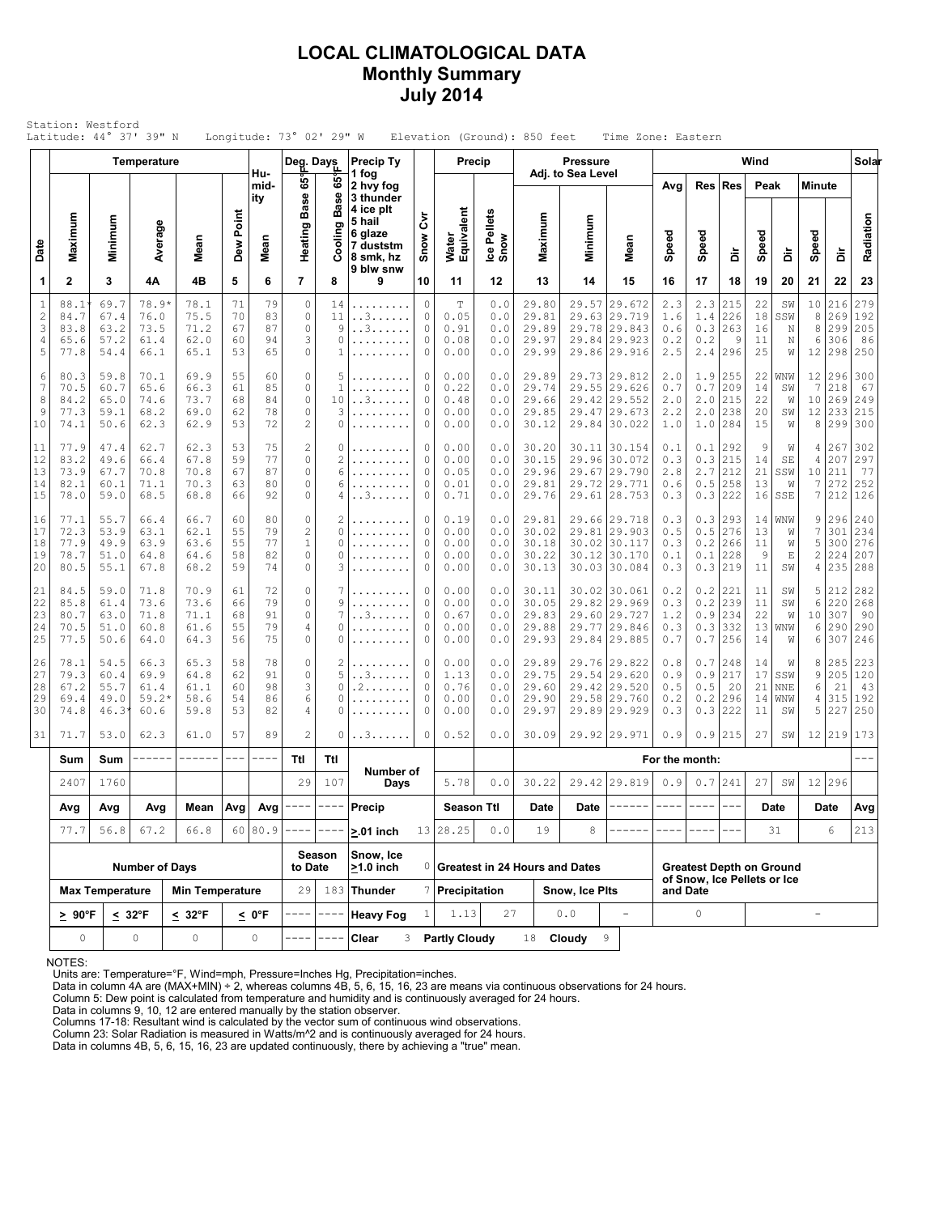## **LOCAL CLIMATOLOGICAL DATA Monthly Summary July 2014**

| Wind<br><b>Precip Ty</b><br>Precip<br><b>Pressure</b><br>Temperature<br>Deg. Days<br>Adj. to Sea Level<br>Hu-<br>1 fog<br>65°<br>ဖိ<br><b>Res</b><br>Peak<br>mid-<br>2 hvy fog<br>Avg<br>Res<br><b>Minute</b><br><b>Base</b><br><b>Base</b><br>3 thunder<br>ity<br>4 ice plt<br>Water<br>Equivalent<br>Ice Pellets<br>Snow<br>Dew Point<br>ξ<br>Maximum<br>Maximum<br>Minimum<br>Minimum<br>5 hail<br>Average<br>Heating<br>Cooling<br>6 glaze<br>Speed<br>Speed<br>Speed<br>Speed<br>Snow<br>Mean<br>Mean<br>Mean<br>Date<br>7 duststm<br>å<br>à<br>å<br>8 smk, hz<br>9 blw snw<br>$\mathbf{2}$<br>5<br>$\overline{7}$<br>1<br>3<br>4B<br>6<br>10<br>15<br>16<br>17<br>19<br>22<br>4Α<br>8<br>9<br>11<br>12<br>13<br>14<br>18<br>20<br>21<br>79<br>$\circ$<br>$1\,$<br>0<br>215<br>22<br>216<br>88.1<br>69.7<br>78.9*<br>78.1<br>71<br>14<br>T<br>0.0<br>29.80<br>29.57<br>29.672<br>2.3<br>2.3<br>SW<br>10<br>.<br>$\sqrt{2}$<br>226<br>83<br>$\circ$<br>0.05<br>$1.4\,$<br>$^{\rm 8}$<br>84.7<br>67.4<br>75.5<br>70<br>11<br>. . 3<br>0<br>0.0<br>29.81<br>29.63 29.719<br>1.6<br>18<br>SSW<br>269<br>76.0<br>$\mathbb O$<br>3<br>87<br>0.3<br>8<br>299<br>83.8<br>63.2<br>73.5<br>71.2<br>67<br>9<br>. . 3<br>0<br>0.91<br>0.0<br>29.89<br>29.78 29.843<br>263<br>16<br>0.6<br>N<br>3<br>62.0<br>94<br>0<br>0.2<br>11<br>6<br>306<br>4<br>65.6<br>57.2<br>60<br>0<br>0.08<br>0.0<br>29.97<br>29.84 29.923<br>0.2<br>9<br>61.4<br>N<br>5<br>65.1<br>53<br>65<br>$\mathbf 0$<br>0<br>2.5<br>2.4<br>296<br>25<br>12<br>298<br>77.8<br>54.4<br>66.1<br>0.00<br>29.99<br>29.86 29.916<br>0.0<br>W<br>$\circ$<br>22<br>6<br>80.3<br>59.8<br>70.1<br>69.9<br>55<br>60<br>5<br>0<br>0.00<br>29.89<br>29.73 29.812<br>2.0<br>1.9<br>255<br>WNW<br>12<br>296<br>0.0<br>$\overline{7}$<br>7<br>85<br>0<br>$\mathbf{1}$<br>0.22<br>0.7<br>209<br>14<br>218<br>70.5<br>60.7<br>65.6<br>66.3<br>61<br>0<br>0.0<br>29.74<br>29.55 29.626<br>0.7<br>SW<br>.<br>$\mathbb O$<br>8<br>68<br>84<br>0<br>0.48<br>29.66<br>2.0<br>215<br>22<br>10<br>269<br>84.2<br>65.0<br>74.6<br>73.7<br>10<br>. . 3<br>0.0<br>29.42 29.552<br>2.0<br>W<br>78<br>$\circ$<br>9<br>0<br>29.85<br>2.2<br>2.0<br>238<br>20<br>12<br>233<br>77.3<br>59.1<br>68.2<br>69.0<br>62<br>3<br>0.00<br>0.0<br>29.47<br>29.673<br>SW<br>72<br>$\overline{c}$<br>53<br>284<br>15<br>8<br>299<br>10<br>74.1<br>50.6<br>62.3<br>62.9<br>0<br>0<br>0.00<br>0.0<br>30.12<br>29.84 30.022<br>1.0<br>1.0<br>W<br>.<br>77.9<br>75<br>$\mathbf{2}$<br>47.4<br>62.7<br>62.3<br>53<br>0<br>0.00<br>30.20<br>30.11 30.154<br>292<br>9<br>267<br>11<br>0<br>0.0<br>0.1<br>0.1<br>W<br>4<br>$\mathbb O$<br>12<br>83.2<br>77<br>$\overline{c}$<br>0<br>0.00<br>215<br>207<br>49.6<br>66.4<br>67.8<br>59<br>0.0<br>30.15<br>29.96 30.072<br>0.3<br>0.3<br>14<br>SE<br>4<br>.<br>87<br>$\circ$<br>212<br>13<br>0<br>2.8<br>2.7<br>21<br>10 211<br>73.9<br>67.7<br>70.8<br>70.8<br>67<br>6<br>0.05<br>0.0<br>29.96<br>29.67<br>29.790<br>SSW<br>80<br>0<br>258<br>13<br>$\overline{7}$<br>272<br>14<br>82.1<br>71.1<br>70.3<br>63<br>6<br>0<br>0.01<br>0.0<br>29.81<br>29.72 29.771<br>0.6<br>0.5<br>60.1<br>W<br>.<br>15<br>7<br>78.0<br>59.0<br>68.5<br>68.8<br>66<br>92<br>0<br>. . 3<br>0<br>0.71<br>29.76<br>29.61 28.753<br>0.3<br>0.3<br>222<br>16<br>SSE<br>212<br>4<br>0.0<br>$\circ$<br>77.1<br>55.7<br>66.7<br>60<br>80<br>2<br>0<br>0.19<br>29.81<br>29.66 29.718<br>0.3<br>293<br>14<br>WNW<br>9<br>296<br>16<br>66.4<br>0.0<br>0.3<br>$\overline{c}$<br>$\overline{7}$<br>72.3<br>79<br>0<br>29.81 29.903<br>0.5<br>276<br>301<br>17<br>53.9<br>63.1<br>62.1<br>55<br>0.00<br>0.0<br>30.02<br>0.5<br>13<br>0<br>W<br>77<br>$\,1$<br>18<br>77.9<br>55<br>266<br>5<br>300<br>49.9<br>63.9<br>63.6<br>0<br>0<br>0.00<br>0.0<br>30.18<br>30.02 30.117<br>0.3<br>0.2<br>11<br>W<br>.<br>228<br>$\overline{\mathbf{c}}$<br>82<br>$\mathbf 0$<br>19<br>78.7<br>64.6<br>58<br>0<br>0.00<br>30.22<br>30.12<br>30.170<br>0.1<br>0.1<br>9<br>Ε<br>224<br>51.0<br>64.8<br>0<br>0.0<br>20<br>74<br>0<br>219<br>11<br>235<br>80.5<br>55.1<br>68.2<br>59<br>3<br>0<br>0.00<br>30.13<br>30.03 30.084<br>0.3<br>0.3<br>SW<br>4<br>67.8<br>0.0<br>21<br>84.5<br>72<br>$\circ$<br>0.2<br>0.2<br>5<br>212<br>59.0<br>70.9<br>61<br>7<br>$\Omega$<br>0.00<br>30.11<br>30.02 30.061<br>221<br>11<br>71.8<br>0.0<br>SW<br>79<br>$\mathbb O$<br>$0.2$<br>22<br>73.6<br>0.00<br>0.3<br>239<br>11<br>6<br>220<br>85.8<br>61.4<br>73.6<br>66<br>9<br>0<br>0.0<br>30.05<br>29.82 29.969<br>SW<br>.<br>234<br>23<br>91<br>0<br>0<br>22<br>80.7<br>63.0<br>71.8<br>71.1<br>68<br>7<br>. . 3<br>0.67<br>29.83<br>29.60 29.727<br>1.2<br>0.9<br>W<br>10 307<br>0.0<br>79<br>24<br>55<br>4<br>29.77<br>332<br>13<br>290<br>70.5<br>51.0<br>60.8<br>61.6<br>0<br>0<br>0.00<br>0.0<br>29.88<br>29.846<br>0.3<br>0.3<br>WNW<br>6<br>.<br>25<br>75<br>77.5<br>0<br>0<br>29.93<br>29.84 29.885<br>0.7<br>256<br>14<br>6<br>307<br>50.6<br>64.3<br>56<br>0.00<br>0.0<br>0.7<br>64.0<br>0<br>W<br>78<br>26<br>78.1<br>54.5<br>66.3<br>65.3<br>58<br>0<br>2<br>0.00<br>29.89<br>29.76 29.822<br>0.8<br>0.7<br>248<br>14<br>285<br>0<br>0.0<br>8<br>W<br>217<br>91<br>0<br>5<br>17<br>27<br>79.3<br>60.4<br>69.9<br>64.8<br>62<br>0<br>1.13<br>0.0<br>29.75<br>29.54<br> 29.620<br>0.9<br>0.9<br>SSW<br>9<br>205<br>. . 3<br>3<br>28<br>98<br>21<br>67.2<br>55.7<br>60<br>0<br>0<br>0.76<br>29.60<br>29.42 29.520<br>0.5<br>0.5<br>20<br>21<br>NNE<br>6<br>61.4<br>61.1<br>. 2<br>0.0<br>6<br>29<br>86<br>0<br>315<br>69.4<br>49.0<br>$59.2*$<br>58.6<br>54<br>0<br>0.00<br>29.90<br>29.58 29.760<br>0.2<br>0.2<br>296<br>14<br>WNW<br>4<br>0.0<br>30<br>53<br>82<br>0.3<br>222<br>5<br>227<br>59.8<br>4<br>0<br>0.00<br>29.97<br>29.89 29.929<br>0.3<br>11<br>SW<br>74.8<br>46.3<br>60.6<br>0<br>0.0<br>$\overline{c}$<br>31<br>71.7<br>53.0<br>62.3<br>61.0<br>57<br>89<br>0<br>0.52<br>0.0<br>30.09<br>29.92 29.971<br>0.9<br>0.9<br>215<br>27<br>12 219<br>0<br>. . 3<br>SW<br>Ttl<br>Sum<br>Sum<br>------<br>$- - -$<br>$- - - -$<br>Ttl<br>For the month:<br>Number of<br>0.7 241<br>12 296<br>2407<br>1760<br>29<br>107<br>5.78<br>0.0<br>30.22<br>29.42 29.819<br>0.9<br>27<br>SW<br>Days<br>Season Ttl<br>Avg<br>Avg<br>Mean<br>Avg<br>Avg<br>Precip<br>Date<br>Date<br>Date<br>Date<br>Avg<br>60 80.9<br>13 28.25<br>56.8<br>67.2<br>66.8<br>0.0<br>19<br>8<br>6<br>77.7<br>$- - - -$<br>31<br>$> 01$ inch<br>$- - -$<br>Snow, Ice<br>Season<br>$\geq 1.0$ inch<br><b>Number of Days</b><br>to Date<br>0 Greatest in 24 Hours and Dates<br><b>Greatest Depth on Ground</b><br>of Snow, Ice Pellets or Ice<br>29<br>183 Thunder<br><b>Max Temperature</b><br><b>Min Temperature</b><br>7 Precipitation<br>Snow, Ice Plts<br>and Date<br>1.13<br>27<br>$\circ$<br>0.0<br>$< 32^{\circ}F$<br>1<br>$\overline{\phantom{a}}$<br>$\geq 90^{\circ}$ F<br>$\leq 32^{\circ}$ F<br>$< 0^{\circ}F$<br><b>Heavy Fog</b><br>$\overline{\phantom{a}}$ | Station: Westford |  | Latitude: 44° 37' 39" N |  |  | Longitude: 73° 02' 29" W |  |  |  |  | Elevation (Ground): 850 feet |  | Time Zone: Eastern |  |  |  |                                |  |  |  |                                 |
|--------------------------------------------------------------------------------------------------------------------------------------------------------------------------------------------------------------------------------------------------------------------------------------------------------------------------------------------------------------------------------------------------------------------------------------------------------------------------------------------------------------------------------------------------------------------------------------------------------------------------------------------------------------------------------------------------------------------------------------------------------------------------------------------------------------------------------------------------------------------------------------------------------------------------------------------------------------------------------------------------------------------------------------------------------------------------------------------------------------------------------------------------------------------------------------------------------------------------------------------------------------------------------------------------------------------------------------------------------------------------------------------------------------------------------------------------------------------------------------------------------------------------------------------------------------------------------------------------------------------------------------------------------------------------------------------------------------------------------------------------------------------------------------------------------------------------------------------------------------------------------------------------------------------------------------------------------------------------------------------------------------------------------------------------------------------------------------------------------------------------------------------------------------------------------------------------------------------------------------------------------------------------------------------------------------------------------------------------------------------------------------------------------------------------------------------------------------------------------------------------------------------------------------------------------------------------------------------------------------------------------------------------------------------------------------------------------------------------------------------------------------------------------------------------------------------------------------------------------------------------------------------------------------------------------------------------------------------------------------------------------------------------------------------------------------------------------------------------------------------------------------------------------------------------------------------------------------------------------------------------------------------------------------------------------------------------------------------------------------------------------------------------------------------------------------------------------------------------------------------------------------------------------------------------------------------------------------------------------------------------------------------------------------------------------------------------------------------------------------------------------------------------------------------------------------------------------------------------------------------------------------------------------------------------------------------------------------------------------------------------------------------------------------------------------------------------------------------------------------------------------------------------------------------------------------------------------------------------------------------------------------------------------------------------------------------------------------------------------------------------------------------------------------------------------------------------------------------------------------------------------------------------------------------------------------------------------------------------------------------------------------------------------------------------------------------------------------------------------------------------------------------------------------------------------------------------------------------------------------------------------------------------------------------------------------------------------------------------------------------------------------------------------------------------------------------------------------------------------------------------------------------------------------------------------------------------------------------------------------------------------------------------------------------------------------------------------------------------------------------------------------------------------------------------------------------------------------------------------------------------------------------------------------------------------------------------------------------------------------------------------------------------------------------------------------------------------------------------------------------------------------------------------------------------------------------------------------------------------------------------------------------------------------------------------------------------------------------------------------------------------------------------------------------------------------------------------------------------------------------------------------------------------------------------------------------------------------------------------------------------------------------------------------------------------------------------------------------------------------------------------------------------------------------------------------------------------------------------------------------------------------------------------------------------------------------------------------------------------------------------------------------------------------------------------------------------------------------------------------------------------------------------------------------------------------------------------------------------------------------------------------------------------------------------------------------------------|-------------------|--|-------------------------|--|--|--------------------------|--|--|--|--|------------------------------|--|--------------------|--|--|--|--------------------------------|--|--|--|---------------------------------|
|                                                                                                                                                                                                                                                                                                                                                                                                                                                                                                                                                                                                                                                                                                                                                                                                                                                                                                                                                                                                                                                                                                                                                                                                                                                                                                                                                                                                                                                                                                                                                                                                                                                                                                                                                                                                                                                                                                                                                                                                                                                                                                                                                                                                                                                                                                                                                                                                                                                                                                                                                                                                                                                                                                                                                                                                                                                                                                                                                                                                                                                                                                                                                                                                                                                                                                                                                                                                                                                                                                                                                                                                                                                                                                                                                                                                                                                                                                                                                                                                                                                                                                                                                                                                                                                                                                                                                                                                                                                                                                                                                                                                                                                                                                                                                                                                                                                                                                                                                                                                                                                                                                                                                                                                                                                                                                                                                                                                                                                                                                                                                                                                                                                                                                                                                                                                                                                                                                                                                                                                                                                                                                                                                                                                                                                                                                                                                                                                                                                                                                                                                                                                                                                                                                                                                                                                                                                                                                                                                        |                   |  |                         |  |  |                          |  |  |  |  |                              |  |                    |  |  |  |                                |  |  |  | Solar                           |
|                                                                                                                                                                                                                                                                                                                                                                                                                                                                                                                                                                                                                                                                                                                                                                                                                                                                                                                                                                                                                                                                                                                                                                                                                                                                                                                                                                                                                                                                                                                                                                                                                                                                                                                                                                                                                                                                                                                                                                                                                                                                                                                                                                                                                                                                                                                                                                                                                                                                                                                                                                                                                                                                                                                                                                                                                                                                                                                                                                                                                                                                                                                                                                                                                                                                                                                                                                                                                                                                                                                                                                                                                                                                                                                                                                                                                                                                                                                                                                                                                                                                                                                                                                                                                                                                                                                                                                                                                                                                                                                                                                                                                                                                                                                                                                                                                                                                                                                                                                                                                                                                                                                                                                                                                                                                                                                                                                                                                                                                                                                                                                                                                                                                                                                                                                                                                                                                                                                                                                                                                                                                                                                                                                                                                                                                                                                                                                                                                                                                                                                                                                                                                                                                                                                                                                                                                                                                                                                                                        |                   |  |                         |  |  |                          |  |  |  |  |                              |  |                    |  |  |  |                                |  |  |  |                                 |
|                                                                                                                                                                                                                                                                                                                                                                                                                                                                                                                                                                                                                                                                                                                                                                                                                                                                                                                                                                                                                                                                                                                                                                                                                                                                                                                                                                                                                                                                                                                                                                                                                                                                                                                                                                                                                                                                                                                                                                                                                                                                                                                                                                                                                                                                                                                                                                                                                                                                                                                                                                                                                                                                                                                                                                                                                                                                                                                                                                                                                                                                                                                                                                                                                                                                                                                                                                                                                                                                                                                                                                                                                                                                                                                                                                                                                                                                                                                                                                                                                                                                                                                                                                                                                                                                                                                                                                                                                                                                                                                                                                                                                                                                                                                                                                                                                                                                                                                                                                                                                                                                                                                                                                                                                                                                                                                                                                                                                                                                                                                                                                                                                                                                                                                                                                                                                                                                                                                                                                                                                                                                                                                                                                                                                                                                                                                                                                                                                                                                                                                                                                                                                                                                                                                                                                                                                                                                                                                                                        |                   |  |                         |  |  |                          |  |  |  |  |                              |  |                    |  |  |  |                                |  |  |  | Radiation                       |
|                                                                                                                                                                                                                                                                                                                                                                                                                                                                                                                                                                                                                                                                                                                                                                                                                                                                                                                                                                                                                                                                                                                                                                                                                                                                                                                                                                                                                                                                                                                                                                                                                                                                                                                                                                                                                                                                                                                                                                                                                                                                                                                                                                                                                                                                                                                                                                                                                                                                                                                                                                                                                                                                                                                                                                                                                                                                                                                                                                                                                                                                                                                                                                                                                                                                                                                                                                                                                                                                                                                                                                                                                                                                                                                                                                                                                                                                                                                                                                                                                                                                                                                                                                                                                                                                                                                                                                                                                                                                                                                                                                                                                                                                                                                                                                                                                                                                                                                                                                                                                                                                                                                                                                                                                                                                                                                                                                                                                                                                                                                                                                                                                                                                                                                                                                                                                                                                                                                                                                                                                                                                                                                                                                                                                                                                                                                                                                                                                                                                                                                                                                                                                                                                                                                                                                                                                                                                                                                                                        |                   |  |                         |  |  |                          |  |  |  |  |                              |  |                    |  |  |  |                                |  |  |  | 23                              |
|                                                                                                                                                                                                                                                                                                                                                                                                                                                                                                                                                                                                                                                                                                                                                                                                                                                                                                                                                                                                                                                                                                                                                                                                                                                                                                                                                                                                                                                                                                                                                                                                                                                                                                                                                                                                                                                                                                                                                                                                                                                                                                                                                                                                                                                                                                                                                                                                                                                                                                                                                                                                                                                                                                                                                                                                                                                                                                                                                                                                                                                                                                                                                                                                                                                                                                                                                                                                                                                                                                                                                                                                                                                                                                                                                                                                                                                                                                                                                                                                                                                                                                                                                                                                                                                                                                                                                                                                                                                                                                                                                                                                                                                                                                                                                                                                                                                                                                                                                                                                                                                                                                                                                                                                                                                                                                                                                                                                                                                                                                                                                                                                                                                                                                                                                                                                                                                                                                                                                                                                                                                                                                                                                                                                                                                                                                                                                                                                                                                                                                                                                                                                                                                                                                                                                                                                                                                                                                                                                        |                   |  |                         |  |  |                          |  |  |  |  |                              |  |                    |  |  |  |                                |  |  |  | 279<br>192<br>205<br>86<br>250  |
|                                                                                                                                                                                                                                                                                                                                                                                                                                                                                                                                                                                                                                                                                                                                                                                                                                                                                                                                                                                                                                                                                                                                                                                                                                                                                                                                                                                                                                                                                                                                                                                                                                                                                                                                                                                                                                                                                                                                                                                                                                                                                                                                                                                                                                                                                                                                                                                                                                                                                                                                                                                                                                                                                                                                                                                                                                                                                                                                                                                                                                                                                                                                                                                                                                                                                                                                                                                                                                                                                                                                                                                                                                                                                                                                                                                                                                                                                                                                                                                                                                                                                                                                                                                                                                                                                                                                                                                                                                                                                                                                                                                                                                                                                                                                                                                                                                                                                                                                                                                                                                                                                                                                                                                                                                                                                                                                                                                                                                                                                                                                                                                                                                                                                                                                                                                                                                                                                                                                                                                                                                                                                                                                                                                                                                                                                                                                                                                                                                                                                                                                                                                                                                                                                                                                                                                                                                                                                                                                                        |                   |  |                         |  |  |                          |  |  |  |  |                              |  |                    |  |  |  | 300<br>67<br>249<br>215<br>300 |  |  |  |                                 |
|                                                                                                                                                                                                                                                                                                                                                                                                                                                                                                                                                                                                                                                                                                                                                                                                                                                                                                                                                                                                                                                                                                                                                                                                                                                                                                                                                                                                                                                                                                                                                                                                                                                                                                                                                                                                                                                                                                                                                                                                                                                                                                                                                                                                                                                                                                                                                                                                                                                                                                                                                                                                                                                                                                                                                                                                                                                                                                                                                                                                                                                                                                                                                                                                                                                                                                                                                                                                                                                                                                                                                                                                                                                                                                                                                                                                                                                                                                                                                                                                                                                                                                                                                                                                                                                                                                                                                                                                                                                                                                                                                                                                                                                                                                                                                                                                                                                                                                                                                                                                                                                                                                                                                                                                                                                                                                                                                                                                                                                                                                                                                                                                                                                                                                                                                                                                                                                                                                                                                                                                                                                                                                                                                                                                                                                                                                                                                                                                                                                                                                                                                                                                                                                                                                                                                                                                                                                                                                                                                        |                   |  |                         |  |  |                          |  |  |  |  |                              |  |                    |  |  |  |                                |  |  |  | 302<br>297<br>77<br>252<br>126  |
|                                                                                                                                                                                                                                                                                                                                                                                                                                                                                                                                                                                                                                                                                                                                                                                                                                                                                                                                                                                                                                                                                                                                                                                                                                                                                                                                                                                                                                                                                                                                                                                                                                                                                                                                                                                                                                                                                                                                                                                                                                                                                                                                                                                                                                                                                                                                                                                                                                                                                                                                                                                                                                                                                                                                                                                                                                                                                                                                                                                                                                                                                                                                                                                                                                                                                                                                                                                                                                                                                                                                                                                                                                                                                                                                                                                                                                                                                                                                                                                                                                                                                                                                                                                                                                                                                                                                                                                                                                                                                                                                                                                                                                                                                                                                                                                                                                                                                                                                                                                                                                                                                                                                                                                                                                                                                                                                                                                                                                                                                                                                                                                                                                                                                                                                                                                                                                                                                                                                                                                                                                                                                                                                                                                                                                                                                                                                                                                                                                                                                                                                                                                                                                                                                                                                                                                                                                                                                                                                                        |                   |  |                         |  |  |                          |  |  |  |  |                              |  |                    |  |  |  |                                |  |  |  | 240<br>234<br>276<br>207<br>288 |
|                                                                                                                                                                                                                                                                                                                                                                                                                                                                                                                                                                                                                                                                                                                                                                                                                                                                                                                                                                                                                                                                                                                                                                                                                                                                                                                                                                                                                                                                                                                                                                                                                                                                                                                                                                                                                                                                                                                                                                                                                                                                                                                                                                                                                                                                                                                                                                                                                                                                                                                                                                                                                                                                                                                                                                                                                                                                                                                                                                                                                                                                                                                                                                                                                                                                                                                                                                                                                                                                                                                                                                                                                                                                                                                                                                                                                                                                                                                                                                                                                                                                                                                                                                                                                                                                                                                                                                                                                                                                                                                                                                                                                                                                                                                                                                                                                                                                                                                                                                                                                                                                                                                                                                                                                                                                                                                                                                                                                                                                                                                                                                                                                                                                                                                                                                                                                                                                                                                                                                                                                                                                                                                                                                                                                                                                                                                                                                                                                                                                                                                                                                                                                                                                                                                                                                                                                                                                                                                                                        |                   |  |                         |  |  |                          |  |  |  |  |                              |  |                    |  |  |  |                                |  |  |  | 282<br>268<br>90<br>290<br>246  |
|                                                                                                                                                                                                                                                                                                                                                                                                                                                                                                                                                                                                                                                                                                                                                                                                                                                                                                                                                                                                                                                                                                                                                                                                                                                                                                                                                                                                                                                                                                                                                                                                                                                                                                                                                                                                                                                                                                                                                                                                                                                                                                                                                                                                                                                                                                                                                                                                                                                                                                                                                                                                                                                                                                                                                                                                                                                                                                                                                                                                                                                                                                                                                                                                                                                                                                                                                                                                                                                                                                                                                                                                                                                                                                                                                                                                                                                                                                                                                                                                                                                                                                                                                                                                                                                                                                                                                                                                                                                                                                                                                                                                                                                                                                                                                                                                                                                                                                                                                                                                                                                                                                                                                                                                                                                                                                                                                                                                                                                                                                                                                                                                                                                                                                                                                                                                                                                                                                                                                                                                                                                                                                                                                                                                                                                                                                                                                                                                                                                                                                                                                                                                                                                                                                                                                                                                                                                                                                                                                        |                   |  |                         |  |  |                          |  |  |  |  |                              |  |                    |  |  |  |                                |  |  |  | 223<br>120<br>43<br>192<br>250  |
|                                                                                                                                                                                                                                                                                                                                                                                                                                                                                                                                                                                                                                                                                                                                                                                                                                                                                                                                                                                                                                                                                                                                                                                                                                                                                                                                                                                                                                                                                                                                                                                                                                                                                                                                                                                                                                                                                                                                                                                                                                                                                                                                                                                                                                                                                                                                                                                                                                                                                                                                                                                                                                                                                                                                                                                                                                                                                                                                                                                                                                                                                                                                                                                                                                                                                                                                                                                                                                                                                                                                                                                                                                                                                                                                                                                                                                                                                                                                                                                                                                                                                                                                                                                                                                                                                                                                                                                                                                                                                                                                                                                                                                                                                                                                                                                                                                                                                                                                                                                                                                                                                                                                                                                                                                                                                                                                                                                                                                                                                                                                                                                                                                                                                                                                                                                                                                                                                                                                                                                                                                                                                                                                                                                                                                                                                                                                                                                                                                                                                                                                                                                                                                                                                                                                                                                                                                                                                                                                                        |                   |  |                         |  |  |                          |  |  |  |  |                              |  |                    |  |  |  |                                |  |  |  | 173                             |
|                                                                                                                                                                                                                                                                                                                                                                                                                                                                                                                                                                                                                                                                                                                                                                                                                                                                                                                                                                                                                                                                                                                                                                                                                                                                                                                                                                                                                                                                                                                                                                                                                                                                                                                                                                                                                                                                                                                                                                                                                                                                                                                                                                                                                                                                                                                                                                                                                                                                                                                                                                                                                                                                                                                                                                                                                                                                                                                                                                                                                                                                                                                                                                                                                                                                                                                                                                                                                                                                                                                                                                                                                                                                                                                                                                                                                                                                                                                                                                                                                                                                                                                                                                                                                                                                                                                                                                                                                                                                                                                                                                                                                                                                                                                                                                                                                                                                                                                                                                                                                                                                                                                                                                                                                                                                                                                                                                                                                                                                                                                                                                                                                                                                                                                                                                                                                                                                                                                                                                                                                                                                                                                                                                                                                                                                                                                                                                                                                                                                                                                                                                                                                                                                                                                                                                                                                                                                                                                                                        |                   |  |                         |  |  |                          |  |  |  |  |                              |  |                    |  |  |  |                                |  |  |  |                                 |
|                                                                                                                                                                                                                                                                                                                                                                                                                                                                                                                                                                                                                                                                                                                                                                                                                                                                                                                                                                                                                                                                                                                                                                                                                                                                                                                                                                                                                                                                                                                                                                                                                                                                                                                                                                                                                                                                                                                                                                                                                                                                                                                                                                                                                                                                                                                                                                                                                                                                                                                                                                                                                                                                                                                                                                                                                                                                                                                                                                                                                                                                                                                                                                                                                                                                                                                                                                                                                                                                                                                                                                                                                                                                                                                                                                                                                                                                                                                                                                                                                                                                                                                                                                                                                                                                                                                                                                                                                                                                                                                                                                                                                                                                                                                                                                                                                                                                                                                                                                                                                                                                                                                                                                                                                                                                                                                                                                                                                                                                                                                                                                                                                                                                                                                                                                                                                                                                                                                                                                                                                                                                                                                                                                                                                                                                                                                                                                                                                                                                                                                                                                                                                                                                                                                                                                                                                                                                                                                                                        |                   |  |                         |  |  |                          |  |  |  |  |                              |  |                    |  |  |  |                                |  |  |  |                                 |
|                                                                                                                                                                                                                                                                                                                                                                                                                                                                                                                                                                                                                                                                                                                                                                                                                                                                                                                                                                                                                                                                                                                                                                                                                                                                                                                                                                                                                                                                                                                                                                                                                                                                                                                                                                                                                                                                                                                                                                                                                                                                                                                                                                                                                                                                                                                                                                                                                                                                                                                                                                                                                                                                                                                                                                                                                                                                                                                                                                                                                                                                                                                                                                                                                                                                                                                                                                                                                                                                                                                                                                                                                                                                                                                                                                                                                                                                                                                                                                                                                                                                                                                                                                                                                                                                                                                                                                                                                                                                                                                                                                                                                                                                                                                                                                                                                                                                                                                                                                                                                                                                                                                                                                                                                                                                                                                                                                                                                                                                                                                                                                                                                                                                                                                                                                                                                                                                                                                                                                                                                                                                                                                                                                                                                                                                                                                                                                                                                                                                                                                                                                                                                                                                                                                                                                                                                                                                                                                                                        |                   |  |                         |  |  |                          |  |  |  |  |                              |  |                    |  |  |  |                                |  |  |  | Avg<br>213                      |
|                                                                                                                                                                                                                                                                                                                                                                                                                                                                                                                                                                                                                                                                                                                                                                                                                                                                                                                                                                                                                                                                                                                                                                                                                                                                                                                                                                                                                                                                                                                                                                                                                                                                                                                                                                                                                                                                                                                                                                                                                                                                                                                                                                                                                                                                                                                                                                                                                                                                                                                                                                                                                                                                                                                                                                                                                                                                                                                                                                                                                                                                                                                                                                                                                                                                                                                                                                                                                                                                                                                                                                                                                                                                                                                                                                                                                                                                                                                                                                                                                                                                                                                                                                                                                                                                                                                                                                                                                                                                                                                                                                                                                                                                                                                                                                                                                                                                                                                                                                                                                                                                                                                                                                                                                                                                                                                                                                                                                                                                                                                                                                                                                                                                                                                                                                                                                                                                                                                                                                                                                                                                                                                                                                                                                                                                                                                                                                                                                                                                                                                                                                                                                                                                                                                                                                                                                                                                                                                                                        |                   |  |                         |  |  |                          |  |  |  |  |                              |  |                    |  |  |  |                                |  |  |  |                                 |
|                                                                                                                                                                                                                                                                                                                                                                                                                                                                                                                                                                                                                                                                                                                                                                                                                                                                                                                                                                                                                                                                                                                                                                                                                                                                                                                                                                                                                                                                                                                                                                                                                                                                                                                                                                                                                                                                                                                                                                                                                                                                                                                                                                                                                                                                                                                                                                                                                                                                                                                                                                                                                                                                                                                                                                                                                                                                                                                                                                                                                                                                                                                                                                                                                                                                                                                                                                                                                                                                                                                                                                                                                                                                                                                                                                                                                                                                                                                                                                                                                                                                                                                                                                                                                                                                                                                                                                                                                                                                                                                                                                                                                                                                                                                                                                                                                                                                                                                                                                                                                                                                                                                                                                                                                                                                                                                                                                                                                                                                                                                                                                                                                                                                                                                                                                                                                                                                                                                                                                                                                                                                                                                                                                                                                                                                                                                                                                                                                                                                                                                                                                                                                                                                                                                                                                                                                                                                                                                                                        |                   |  |                         |  |  |                          |  |  |  |  |                              |  |                    |  |  |  |                                |  |  |  |                                 |
|                                                                                                                                                                                                                                                                                                                                                                                                                                                                                                                                                                                                                                                                                                                                                                                                                                                                                                                                                                                                                                                                                                                                                                                                                                                                                                                                                                                                                                                                                                                                                                                                                                                                                                                                                                                                                                                                                                                                                                                                                                                                                                                                                                                                                                                                                                                                                                                                                                                                                                                                                                                                                                                                                                                                                                                                                                                                                                                                                                                                                                                                                                                                                                                                                                                                                                                                                                                                                                                                                                                                                                                                                                                                                                                                                                                                                                                                                                                                                                                                                                                                                                                                                                                                                                                                                                                                                                                                                                                                                                                                                                                                                                                                                                                                                                                                                                                                                                                                                                                                                                                                                                                                                                                                                                                                                                                                                                                                                                                                                                                                                                                                                                                                                                                                                                                                                                                                                                                                                                                                                                                                                                                                                                                                                                                                                                                                                                                                                                                                                                                                                                                                                                                                                                                                                                                                                                                                                                                                                        |                   |  |                         |  |  |                          |  |  |  |  |                              |  |                    |  |  |  |                                |  |  |  |                                 |
| 0<br>$\circ$<br>0<br>9<br>0<br>Clear<br><b>Partly Cloudy</b><br>18<br>Cloudy<br>3                                                                                                                                                                                                                                                                                                                                                                                                                                                                                                                                                                                                                                                                                                                                                                                                                                                                                                                                                                                                                                                                                                                                                                                                                                                                                                                                                                                                                                                                                                                                                                                                                                                                                                                                                                                                                                                                                                                                                                                                                                                                                                                                                                                                                                                                                                                                                                                                                                                                                                                                                                                                                                                                                                                                                                                                                                                                                                                                                                                                                                                                                                                                                                                                                                                                                                                                                                                                                                                                                                                                                                                                                                                                                                                                                                                                                                                                                                                                                                                                                                                                                                                                                                                                                                                                                                                                                                                                                                                                                                                                                                                                                                                                                                                                                                                                                                                                                                                                                                                                                                                                                                                                                                                                                                                                                                                                                                                                                                                                                                                                                                                                                                                                                                                                                                                                                                                                                                                                                                                                                                                                                                                                                                                                                                                                                                                                                                                                                                                                                                                                                                                                                                                                                                                                                                                                                                                                      |                   |  |                         |  |  |                          |  |  |  |  |                              |  |                    |  |  |  |                                |  |  |  |                                 |

NOTES:

Units are: Temperature=°F, Wind=mph, Pressure=Inches Hg, Precipitation=inches. Data in column 4A are (MAX+MIN) ÷ 2, whereas columns 4B, 5, 6, 15, 16, 23 are means via continuous observations for 24 hours.

Column 5: Dew point is calculated from temperature and humidity and is continuously averaged for 24 hours. Data in columns 9, 10, 12 are entered manually by the station observer.

Columns 17-18: Resultant wind is calculated by the vector sum of continuous wind observations.<br>Column 23: Solar Radiation is measured in Watts/m^2 and is continuously averaged for 24 hours.<br>Data in columns 4B, 5, 6, 15, 16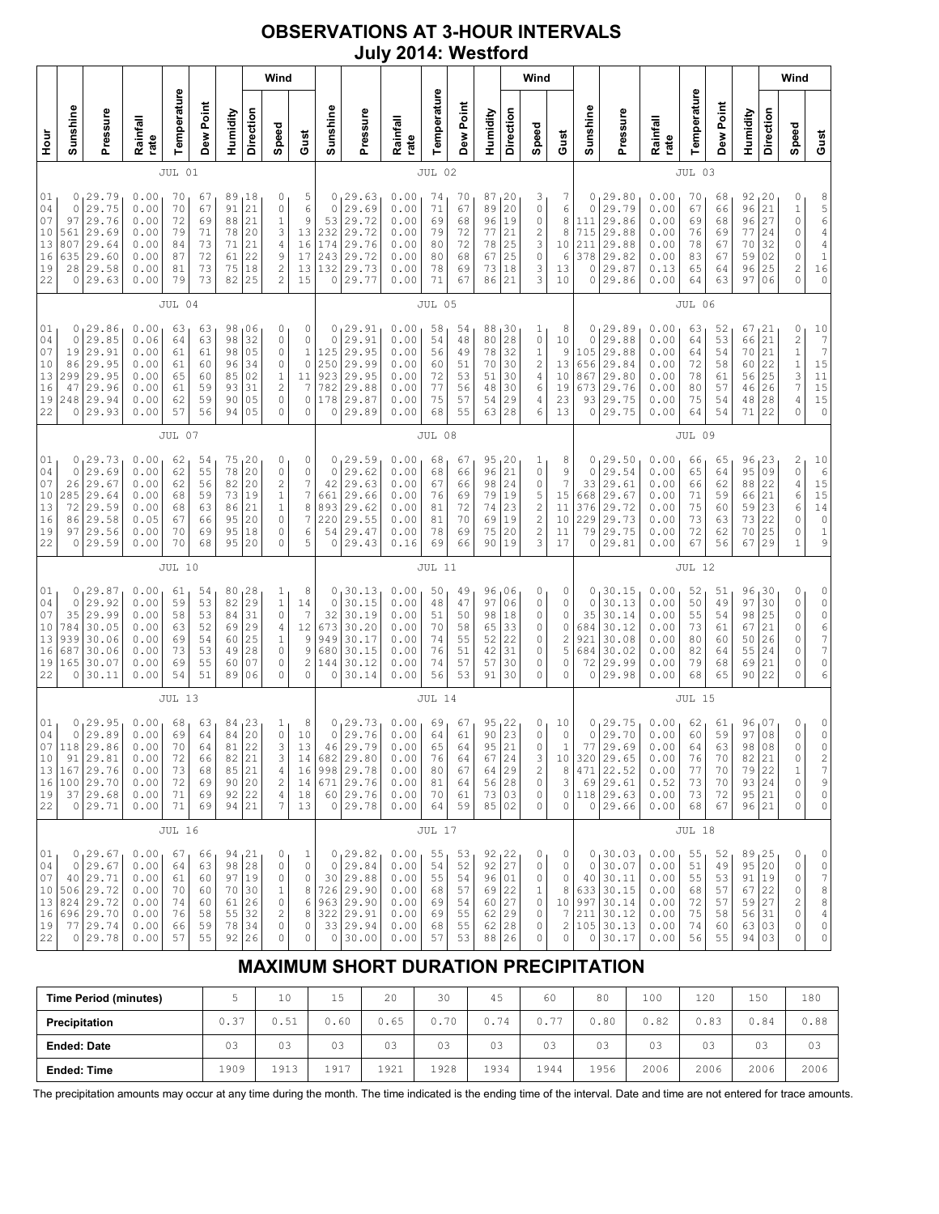## **OBSERVATIONS AT 3-HOUR INTERVALS July 2014: Westford**

# **MAXIMUM SHORT DURATION PRECIPITATION**

| <b>Time Period (minutes)</b> |      | 10   | 15   | 20   | 30   | 45   | 60   | 80   | 100  | 120  | 150  | 180  |
|------------------------------|------|------|------|------|------|------|------|------|------|------|------|------|
| Precipitation                | 0.37 | 0.51 | 0.60 | 0.65 | 0.70 | 0.74 | 0.77 | J.80 | 0.82 | 0.83 | 0.84 | 0.88 |
| <b>Ended: Date</b>           | 03   | 03   | 03   | 03   | 03   | 03   | 03   | 03   | 03   | 03   | 03   | 03   |
| <b>Ended: Time</b>           | ⊥909 | 1913 | 1917 | 1921 | 1928 | 1934 | 1944 | 1956 | 2006 | 2006 | 2006 | 2006 |

The precipitation amounts may occur at any time during the month. The time indicated is the ending time of the interval. Date and time are not entered for trace amounts.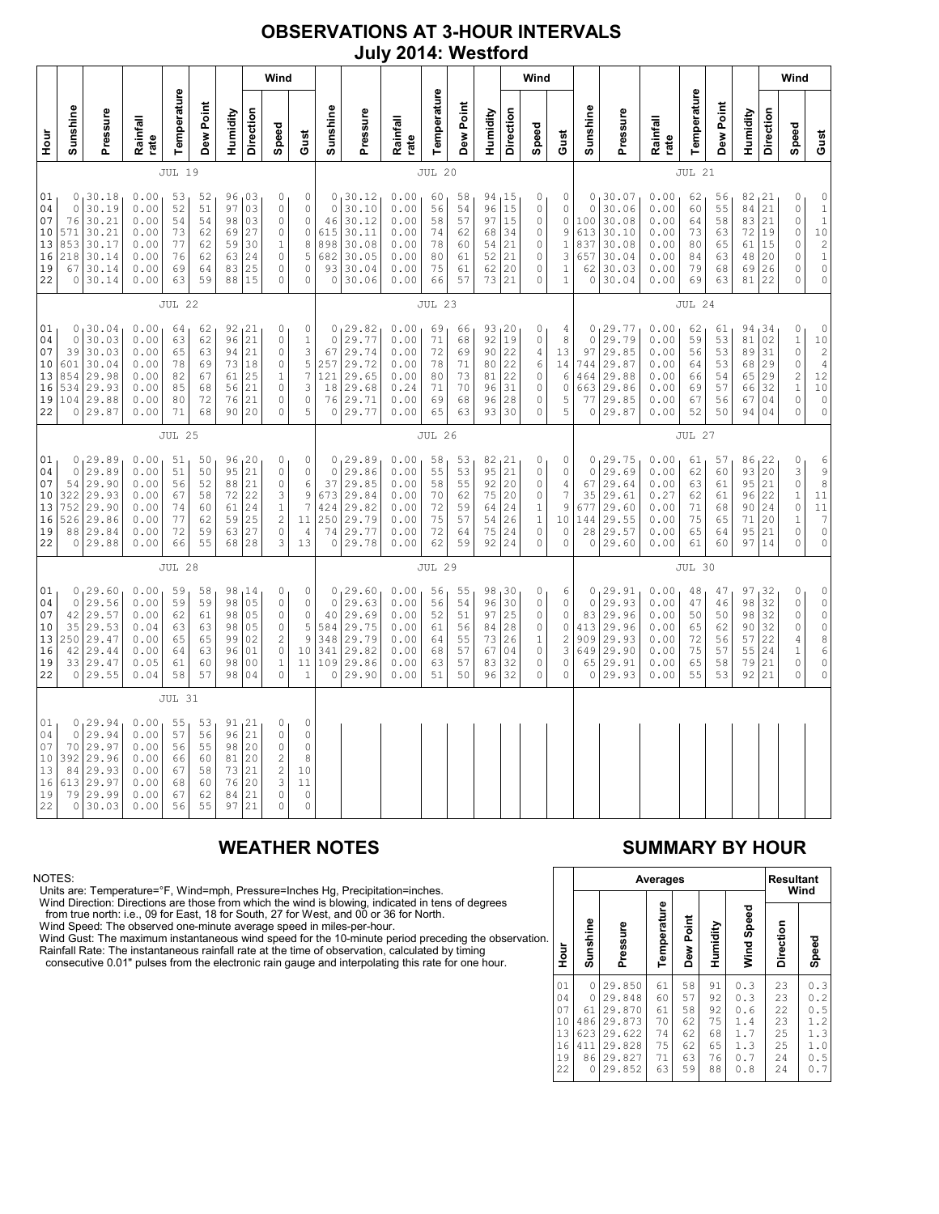### **OBSERVATIONS AT 3-HOUR INTERVALS July 2014: Westford**

|                                              |                                                         |                                                                         |                                                              |                                              |                                              |                                              |                                                                      | Wind                                                                                        |                                                                           |                                                          |                                                                           |                                                              |                                              |                                              |                                                  |                                               | Wind                                                                                 |                                                                              |                                                           |                                                                         |                                                              |                                              |                                              |                                              |                                               | Wind                                                                                       |                                                                                                                                   |
|----------------------------------------------|---------------------------------------------------------|-------------------------------------------------------------------------|--------------------------------------------------------------|----------------------------------------------|----------------------------------------------|----------------------------------------------|----------------------------------------------------------------------|---------------------------------------------------------------------------------------------|---------------------------------------------------------------------------|----------------------------------------------------------|---------------------------------------------------------------------------|--------------------------------------------------------------|----------------------------------------------|----------------------------------------------|--------------------------------------------------|-----------------------------------------------|--------------------------------------------------------------------------------------|------------------------------------------------------------------------------|-----------------------------------------------------------|-------------------------------------------------------------------------|--------------------------------------------------------------|----------------------------------------------|----------------------------------------------|----------------------------------------------|-----------------------------------------------|--------------------------------------------------------------------------------------------|-----------------------------------------------------------------------------------------------------------------------------------|
| 로                                            | Sunshine                                                | Pressure                                                                | Rainfall<br>rate                                             | Temperature                                  | Dew Point                                    | Humidity                                     | Direction                                                            | Speed                                                                                       | Gust                                                                      | Sunshine                                                 | Pressure                                                                  | Rainfall<br>rate                                             | Temperature                                  | Dew Point                                    | Humidity                                         | Direction                                     | Speed                                                                                | Gust                                                                         | Sunshine                                                  | Pressure                                                                | Rainfall<br>rate                                             | Temperature                                  | Dew Point                                    | Humidity                                     | Direction                                     | Speed                                                                                      | Gust                                                                                                                              |
|                                              |                                                         |                                                                         | JUL 19                                                       |                                              | JUL 20                                       |                                              |                                                                      |                                                                                             |                                                                           |                                                          |                                                                           |                                                              |                                              | <b>JUL 21</b>                                |                                                  |                                               |                                                                                      |                                                                              |                                                           |                                                                         |                                                              |                                              |                                              |                                              |                                               |                                                                                            |                                                                                                                                   |
| 01<br>04<br>07<br>10<br>13<br>16<br>19<br>22 | 0<br>0<br>76<br>571<br>853<br>218<br>67<br>$\circ$      | 30.18<br>30.19<br>30.21<br>30.21<br>30.17<br>30.14<br>30.14<br>30.14    | 0.00<br>0.00<br>0.00<br>0.00<br>0.00<br>0.00<br>0.00<br>0.00 | 53<br>52<br>54<br>73<br>77<br>76<br>69<br>63 | 52<br>51<br>54<br>62<br>62<br>62<br>64<br>59 | 96<br>97<br>98<br>69<br>59<br>63<br>83<br>88 | 03<br>03<br>03<br>27<br>30<br>24<br>25<br>15                         | 0<br>$\circ$<br>$\circ$<br>$\circ$<br>$\mathbf{1}$<br>$\mathbb O$<br>$\mathbb O$<br>$\circ$ | 0<br>0<br>$\mathbb O$<br>$\circ$<br>8<br>5<br>0<br>0                      | 0<br>$\circ$<br>46<br>615<br>898<br>682<br>93<br>$\circ$ | 30.12<br>30.10<br>30.12<br>30.11<br>30.08<br>30.05<br>30.04<br>30.06      | 0.00<br>0.00<br>0.00<br>0.00<br>0.00<br>0.00<br>0.00<br>0.00 | 60<br>56<br>58<br>74<br>78<br>80<br>75<br>66 | 58<br>54<br>57<br>62<br>60<br>61<br>61<br>57 | 94<br>96<br>97<br>68<br>54<br>52<br>62<br>73     | 15<br>15<br>15<br>34<br>21<br>21<br>20<br>21  | 0<br>$\circ$<br>$\mathbb O$<br>$\mathbb O$<br>$\mathbf 0$<br>0<br>0<br>$\circ$       | 0<br>$\mathsf{O}\xspace$<br>0<br>9<br>$\mathbf{1}$<br>3<br>1<br>$\mathbf{1}$ | 0<br>$\circ$<br>100<br>613<br>837<br>657<br>62<br>$\circ$ | 30.07<br>30.06<br>30.08<br>30.10<br>30.08<br>30.04<br>30.03<br>30.04    | 0.00<br>0.00<br>0.00<br>0.00<br>0.00<br>0.00<br>0.00<br>0.00 | 62<br>60<br>64<br>73<br>80<br>84<br>79<br>69 | 56<br>55<br>58<br>63<br>65<br>63<br>68<br>63 | 82<br>84<br>83<br>72<br>61<br>48<br>69<br>81 | 121<br>21<br>21<br>19<br>15<br>20<br>26<br>22 | 0<br>$\circ$<br>$\mathbb O$<br>0<br>0<br>0<br>0<br>0                                       | $\circ$<br>$\mathbbm{1}$<br>$\mathbf 1$<br>$\begin{array}{c} 1\,0 \\ 2 \\ 1 \end{array}$<br>$\mathbb O$<br>$\mathbb O$            |
|                                              |                                                         |                                                                         |                                                              | <b>JUL 22</b>                                |                                              |                                              |                                                                      |                                                                                             |                                                                           |                                                          |                                                                           |                                                              | JUL 23                                       |                                              |                                                  |                                               |                                                                                      |                                                                              |                                                           |                                                                         |                                                              | JUL 24                                       |                                              |                                              |                                               |                                                                                            |                                                                                                                                   |
| 01<br>04<br>07<br>10<br>13<br>16<br>19<br>22 | 0<br>39<br>601<br>854<br>534<br>104<br>$\circ$          | 0, 30.04<br>30.03<br>30.03<br>30.04<br>29.98<br>29.93<br>29.88<br>29.87 | 0.00<br>0.00<br>0.00<br>0.00<br>0.00<br>0.00<br>0.00<br>0.00 | 64<br>63<br>65<br>78<br>82<br>85<br>80<br>71 | 62<br>62<br>63<br>69<br>67<br>68<br>72<br>68 | 92<br>96<br>94<br>73<br>61<br>56<br>76<br>90 | 121<br>21<br>21<br>18<br>25<br>21<br>21<br>20                        | 0<br>$\circ$<br>$\circ$<br>$\circ$<br>$\mathbf{1}$<br>$\mathbf 0$<br>0<br>$\mathbf 0$       | 0<br>$\mathbf 1$<br>3<br>5<br>$\overline{7}$<br>3<br>0<br>5               | $\mathbf 0$<br>67<br>257<br>121<br>18<br>76<br>$\circ$   | 0, 29.82<br>29.77<br>29.74<br>29.72<br>29.65<br>29.68<br>29.71<br>29.77   | 0.00<br>0.00<br>0.00<br>0.00<br>0.00<br>0.24<br>0.00<br>0.00 | 69<br>71<br>72<br>78<br>80<br>71<br>69<br>65 | 66<br>68<br>69<br>71<br>73<br>70<br>68<br>63 | 93, 20<br>92<br>90<br>80<br>81<br>96<br>96<br>93 | 19<br>22<br>22<br>22<br>31<br>28<br>30        | 0<br>0<br>4<br>6<br>$\circ$<br>$\circ$<br>0<br>$\circ$                               | 4<br>8<br>13<br>14<br>6<br>0<br>5<br>5                                       | 0<br>97<br>744<br>464<br>663<br>77<br>0                   | 0, 29.77<br>29.79<br>29.85<br>29.87<br>29.88<br>29.86<br>29.85<br>29.87 | 0.00<br>0.00<br>0.00<br>0.00<br>0.00<br>0.00<br>0.00<br>0.00 | 62<br>59<br>56<br>64<br>66<br>69<br>67<br>52 | 61<br>53<br>53<br>53<br>54<br>57<br>56<br>50 | 94<br>81<br>89<br>68<br>65<br>66<br>67<br>94 | 134<br>02<br>31<br>29<br>29<br>32<br>04<br>04 | 0<br>$1\,$<br>$\circ$<br>$\circ$<br>$\overline{c}$<br>$\mathbf{1}$<br>0<br>0               | $\mathbb O$<br>10<br>$\overline{\mathbf{c}}$<br>$\overline{4}$<br>12<br>$10$<br>$\mathbb O$<br>$\mathbb O$                        |
|                                              |                                                         |                                                                         |                                                              | JUL 25                                       |                                              |                                              |                                                                      |                                                                                             |                                                                           | <b>JUL 26</b>                                            |                                                                           |                                                              |                                              |                                              |                                                  |                                               |                                                                                      | <b>JUL 27</b>                                                                |                                                           |                                                                         |                                                              |                                              |                                              |                                              |                                               |                                                                                            |                                                                                                                                   |
| 01<br>04<br>07<br>10<br>13<br>16<br>19<br>22 | 0<br>$\circ$<br>54<br>322<br>752<br>526<br>88           | 29.89<br>29.89<br>29.90<br>29.93<br>29.90<br>29.86<br>29.84<br>0 29.88  | 0.00<br>0.00<br>0.00<br>0.00<br>0.00<br>0.00<br>0.00<br>0.00 | 51<br>51<br>56<br>67<br>74<br>77<br>72<br>66 | 50<br>50<br>52<br>58<br>60<br>62<br>59<br>55 | 96<br>95<br>88<br>72<br>61<br>59<br>63<br>68 | 120<br>21<br>21<br>22<br>24<br>25<br>27<br>28                        | 0<br>0<br>$\circ$<br>3<br>$1\,$<br>$\sqrt{2}$<br>$\mathbf 0$<br>3                           | 0<br>$\mathbb O$<br>6<br>$\mathcal{G}$<br>7<br>11<br>$\overline{4}$<br>13 | 0<br>$\circ$<br>37<br>673<br>424<br>250<br>74            | 29.89<br>29.86<br>29.85<br>29.84<br>29.82<br>29.79<br>29.77<br>0 29.78    | 0.00<br>0.00<br>0.00<br>0.00<br>0.00<br>0.00<br>0.00<br>0.00 | 58<br>55<br>58<br>70<br>72<br>75<br>72<br>62 | 53<br>53<br>55<br>62<br>59<br>57<br>64<br>59 | 82<br>95<br>92<br>75<br>64<br>54<br>75<br>92     | 121<br>21<br>20<br>20<br>24<br>26<br>24<br>24 | 0<br>0<br>$\circ$<br>$\mathbb O$<br>$\,1\,$<br>$\,1\,$<br>$\circ$<br>$\mathbf 0$     | 0<br>0<br>4<br>7<br>9<br>10<br>0<br>0                                        | 0<br>$\circ$<br>67<br>35<br>677<br>144<br>28<br>$\circ$   | 29.75<br>29.69<br>29.64<br>29.61<br>29.60<br>29.55<br>29.57<br>29.60    | 0.00<br>0.00<br>0.00<br>0.27<br>0.00<br>0.00<br>0.00<br>0.00 | 61<br>62<br>63<br>62<br>71<br>75<br>65<br>61 | 57<br>60<br>61<br>61<br>68<br>65<br>64<br>60 | 86<br>93<br>95<br>96<br>90<br>71<br>95<br>97 | 122<br>20<br>21<br>22<br>24<br>20<br>21<br>14 | 0<br>3<br>$\mathbb O$<br>$\mathbf{1}$<br>$\mathbb O$<br>$\mathbf{1}$<br>$\circ$<br>$\circ$ | 6<br>$\frac{9}{8}$<br>$1\,1$<br>$1\,1$<br>$\overline{7}$<br>$\circ$<br>$\mathsf{O}\xspace$                                        |
|                                              |                                                         |                                                                         |                                                              | JUL 28                                       |                                              |                                              |                                                                      |                                                                                             |                                                                           |                                                          |                                                                           |                                                              | <b>JUL 29</b>                                |                                              |                                                  |                                               |                                                                                      |                                                                              |                                                           |                                                                         |                                                              | JUL 30                                       |                                              |                                              |                                               |                                                                                            |                                                                                                                                   |
| 01<br>04<br>07<br>10<br>13<br>16<br>19<br>22 | 0<br>$\circ$<br>42<br>35<br>250<br>42<br>33             | 129.60<br>29.56<br>29.57<br>29.53<br>29.47<br>29.44<br>29.47<br>0 29.55 | 0.00<br>0.00<br>0.00<br>0.04<br>0.00<br>0.00<br>0.05<br>0.04 | 59<br>59<br>62<br>63<br>65<br>64<br>61<br>58 | 58<br>59<br>61<br>63<br>65<br>63<br>60<br>57 | 98<br>98<br>98<br>98<br>99<br>96<br>98<br>98 | 14<br>05<br>0 <sub>5</sub><br>05<br>02<br>01<br>0 <sub>0</sub><br>04 | 0<br>0<br>$\circ$<br>0<br>$\overline{c}$<br>$\mathbb O$<br>$\mathbf{1}$<br>$\circ$          | 0<br>$\mathbb O$<br>$\mathbb O$<br>5<br>9<br>10<br>11<br>$\mathbf{1}$     | $\mathbf 0$<br>40<br>584<br>348<br>341<br>109            | 0, 29.60<br>29.63<br>29.69<br>29.75<br>29.79<br>29.82<br>29.86<br>0 29.90 | 0.00<br>0.00<br>0.00<br>0.00<br>0.00<br>0.00<br>0.00<br>0.00 | 56<br>56<br>52<br>61<br>64<br>68<br>63<br>51 | 55<br>54<br>51<br>56<br>55<br>57<br>57<br>50 | 98<br>96<br>97<br>84<br>73<br>67<br>83<br>96     | 130<br>30<br>25<br>28<br>26<br>04<br>32<br>32 | 0<br>$\circ$<br>$\circ$<br>0<br>$\mathbf 1$<br>$\mathbb O$<br>$\circ$<br>$\mathbf 0$ | 6<br>0<br>0<br>0<br>$\overline{c}$<br>3<br>$\circ$<br>0                      | 0<br>$\circ$<br>83<br>413<br>909<br>649<br>65<br>0        | 129.91<br>29.93<br>29.96<br>29.96<br>29.93<br>29.90<br>29.91<br>29.93   | 0.00<br>0.00<br>0.00<br>0.00<br>0.00<br>0.00<br>0.00<br>0.00 | 48<br>47<br>50<br>65<br>72<br>75<br>65<br>55 | 47<br>46<br>50<br>62<br>56<br>57<br>58<br>53 | 97<br>98<br>98<br>90<br>57<br>55<br>79<br>92 | 32<br>32<br>32<br>32<br>22<br>24<br>21<br>21  | 0<br>$\mathbb O$<br>$\mathbb O$<br>0<br>4<br>$1\,$<br>0<br>$\circ$                         | $\mathsf{O}\xspace$<br>$\mathbb O$<br>$\rm \dot{o}$<br>$\circ$<br>$\begin{array}{c} 8 \\ 6 \end{array}$<br>$\circ$<br>$\mathbb O$ |
|                                              |                                                         |                                                                         |                                                              | <b>JUL 31</b>                                |                                              |                                              |                                                                      |                                                                                             |                                                                           |                                                          |                                                                           |                                                              |                                              |                                              |                                                  |                                               |                                                                                      |                                                                              |                                                           |                                                                         |                                                              |                                              |                                              |                                              |                                               |                                                                                            |                                                                                                                                   |
| 01<br>04<br>07<br>10<br>13<br>16<br>19<br>22 | 0<br>$\circ$<br>70<br>392<br>84<br>613<br>79<br>$\circ$ | 129.94<br>29.94<br>29.97<br>29.96<br>29.93<br>29.97<br>29.99<br>30.03   | 0.00<br>0.00<br>0.00<br>0.00<br>0.00<br>0.00<br>0.00<br>0.00 | 55<br>57<br>56<br>66<br>67<br>68<br>67<br>56 | 53<br>56<br>55<br>60<br>58<br>60<br>62<br>55 | 96<br>98<br>81<br>73<br>76<br>84<br>97       | 91, 21<br>21<br>20<br>20<br>21<br>20<br>21<br>21                     | 0<br>0<br>$\circ$<br>$\overline{c}$<br>$\overline{\mathbf{c}}$<br>3<br>$\circ$<br>$\Omega$  | $\circ$<br>$\circ$<br>$\circ$<br>8<br>10<br>11<br>$\circ$<br>$\circ$      |                                                          |                                                                           |                                                              |                                              |                                              |                                                  |                                               |                                                                                      |                                                                              |                                                           |                                                                         |                                                              |                                              |                                              |                                              |                                               |                                                                                            |                                                                                                                                   |

### NOTES:

Units are: Temperature=°F, Wind=mph, Pressure=Inches Hg, Precipitation=inches.

Wind Direction: Directions are those from which the wind is blowing, indicated in tens of degrees<br>from true north: i.e., 09 for East, 18 for South, 27 for West, and 00 or 36 for North.<br>Wind Speed: The observed one-minute a

Wind Gust: The maximum instantaneous wind speed for the 10-minute period preceding the observation Rainfall Rate: The instantaneous rainfall rate at the time of observation, calculated by timing

consecutive 0.01" pulses from the electronic rain gauge and interpolating this rate for one hour.

### **WEATHER NOTES SUMMARY BY HOUR**

|    |                                              |                                              |                                                                              | Averages                                     |                                              |                                              |                                                      | <b>Resultant</b><br>Wind                     |                                                                               |  |  |  |  |
|----|----------------------------------------------|----------------------------------------------|------------------------------------------------------------------------------|----------------------------------------------|----------------------------------------------|----------------------------------------------|------------------------------------------------------|----------------------------------------------|-------------------------------------------------------------------------------|--|--|--|--|
| n. | Hour                                         | Sunshine                                     | Pressure                                                                     | Temperature                                  | Dew Point                                    | Humidity                                     | Wind Speed                                           | Direction                                    | Speed                                                                         |  |  |  |  |
|    | 01<br>04<br>07<br>10<br>13<br>16<br>19<br>22 | 0<br>0<br>61<br>486<br>623<br>411<br>86<br>0 | 29.850<br>29.848<br>29.870<br>29.873<br>29.622<br>29.828<br>29.827<br>29.852 | 61<br>60<br>61<br>70<br>74<br>75<br>71<br>63 | 58<br>57<br>58<br>62<br>62<br>62<br>63<br>59 | 91<br>92<br>92<br>75<br>68<br>65<br>76<br>88 | 0.3<br>0.3<br>0.6<br>1.4<br>1.7<br>1.3<br>0.7<br>0.8 | 23<br>23<br>22<br>23<br>25<br>25<br>24<br>24 | 0.3<br>$\cdot$ 2<br>0<br>0<br>. 5<br>1.2<br>1.3<br>1.0<br>0<br>. 5<br>.7<br>0 |  |  |  |  |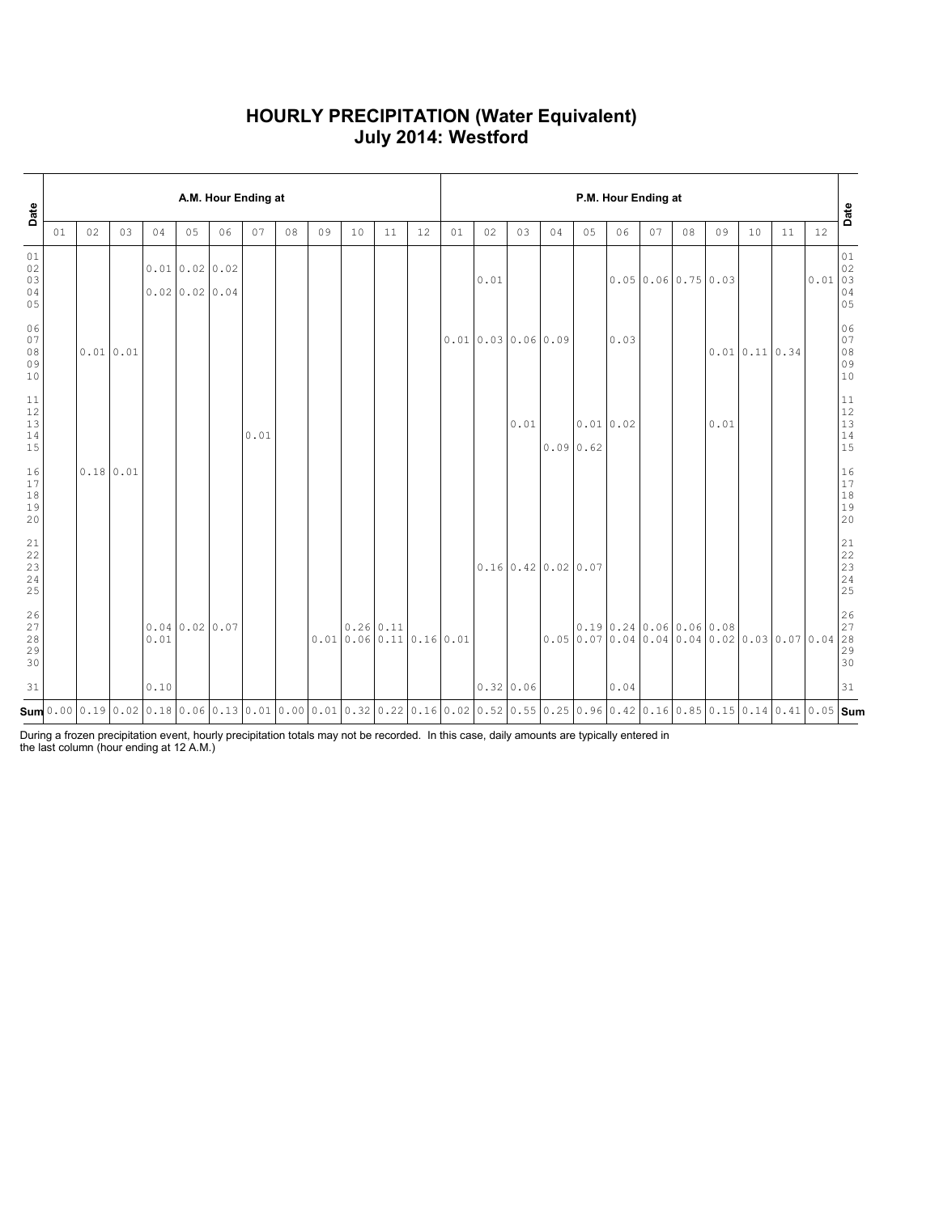### **HOURLY PRECIPITATION (Water Equivalent) July 2014: Westford**

| Date                                                      |    | A.M. Hour Ending at |    |                                                                                                                                                                                                                                                        |              |                            |      |    |    |                                          |    |    |    |                  | P.M. Hour Ending at |                                      |          |                      |                                      |    |      |                  |                                                                                        |        |                                                           |  |  |
|-----------------------------------------------------------|----|---------------------|----|--------------------------------------------------------------------------------------------------------------------------------------------------------------------------------------------------------------------------------------------------------|--------------|----------------------------|------|----|----|------------------------------------------|----|----|----|------------------|---------------------|--------------------------------------|----------|----------------------|--------------------------------------|----|------|------------------|----------------------------------------------------------------------------------------|--------|-----------------------------------------------------------|--|--|
|                                                           | 01 | 02                  | 03 | 04                                                                                                                                                                                                                                                     | 05           | 06                         | 07   | 08 | 09 | 10                                       | 11 | 12 | 01 | 02               | 03                  | 04                                   | 05       | 06                   | 07                                   | 08 | 09   | 10               | 11                                                                                     | 12     | Date                                                      |  |  |
| 01<br>$02\,$<br>03<br>04<br>05                            |    |                     |    |                                                                                                                                                                                                                                                        | 0.010.020.02 | $0.02 \mid 0.02 \mid 0.04$ |      |    |    |                                          |    |    |    | 0.01             |                     |                                      |          |                      | $0.05 \mid 0.06 \mid 0.75 \mid 0.03$ |    |      |                  |                                                                                        | 0.0103 | 01<br>02<br>04<br>05                                      |  |  |
| 06<br>07<br>$08$<br>09<br>10                              |    | 0.01 0.01           |    |                                                                                                                                                                                                                                                        |              |                            |      |    |    |                                          |    |    |    | 0.010.030.060.09 |                     |                                      |          | 0.03                 |                                      |    |      | $0.01$ 0.11 0.34 |                                                                                        |        | 06<br>07<br>08<br>09<br>10                                |  |  |
| $11\,$<br>$12\,$<br>13<br>$14$<br>15                      |    |                     |    |                                                                                                                                                                                                                                                        |              |                            | 0.01 |    |    |                                          |    |    |    |                  | 0.01                |                                      | 0.090.62 | 0.01 0.02            |                                      |    | 0.01 |                  |                                                                                        |        | $11\,$<br>12<br>13<br>14<br>15                            |  |  |
| 16<br>$17\,$<br>$1\,8$<br>19<br>20                        |    | 0.18 0.01           |    |                                                                                                                                                                                                                                                        |              |                            |      |    |    |                                          |    |    |    |                  |                     |                                      |          |                      |                                      |    |      |                  |                                                                                        |        | 16<br>$17\,$<br>$1\,8$<br>19<br>20                        |  |  |
| $\begin{array}{c} 21 \\ 22 \\ 23 \\ 24 \end{array}$<br>25 |    |                     |    |                                                                                                                                                                                                                                                        |              |                            |      |    |    |                                          |    |    |    |                  |                     | $0.16 \mid 0.42 \mid 0.02 \mid 0.07$ |          |                      |                                      |    |      |                  |                                                                                        |        | $\begin{array}{c} 21 \\ 22 \end{array}$<br>23<br>24<br>25 |  |  |
| 26<br>27<br>28<br>29<br>30                                |    |                     |    | 0.01                                                                                                                                                                                                                                                   | 0.040.020.07 |                            |      |    |    | $0.26 \mid 0.11$<br>0.010.060.110.160.01 |    |    |    |                  |                     |                                      |          | 0.190.240.060.060.08 |                                      |    |      |                  | $0.05 \mid 0.07 \mid 0.04 \mid 0.04 \mid 0.04 \mid 0.02 \mid 0.03 \mid 0.07 \mid 0.04$ |        | 26<br>27<br>28<br>29<br>30                                |  |  |
| 31                                                        |    |                     |    | 0.10                                                                                                                                                                                                                                                   |              |                            |      |    |    |                                          |    |    |    | 0.32 0.06        |                     |                                      |          | 0.04                 |                                      |    |      |                  |                                                                                        |        | 31                                                        |  |  |
|                                                           |    |                     |    | $\mathsf{Sum}$ 0.00 $\mid$ 0.19 $\mid$ 0.02 $\mid$ 0.18 $\mid$ 0.06 $\mid$ 0.13 $\mid$ 0.01 $\mid$ 0.00 $\mid$ 0.01 $\mid$ 0.02 $\mid$ 0.22 $\mid$ 0.18 $\mid$ 0.02 $\mid$ 0.05 $\mid$ 0.05 $\mid$ 0.05 $\mid$ 0.05 $\mid$ 0.05 $\mid$ 0.05 $\mid$ Sum |              |                            |      |    |    |                                          |    |    |    |                  |                     |                                      |          |                      |                                      |    |      |                  |                                                                                        |        |                                                           |  |  |

During a frozen precipitation event, hourly precipitation totals may not be recorded. In this case, daily amounts are typically entered in the last column (hour ending at 12 A.M.)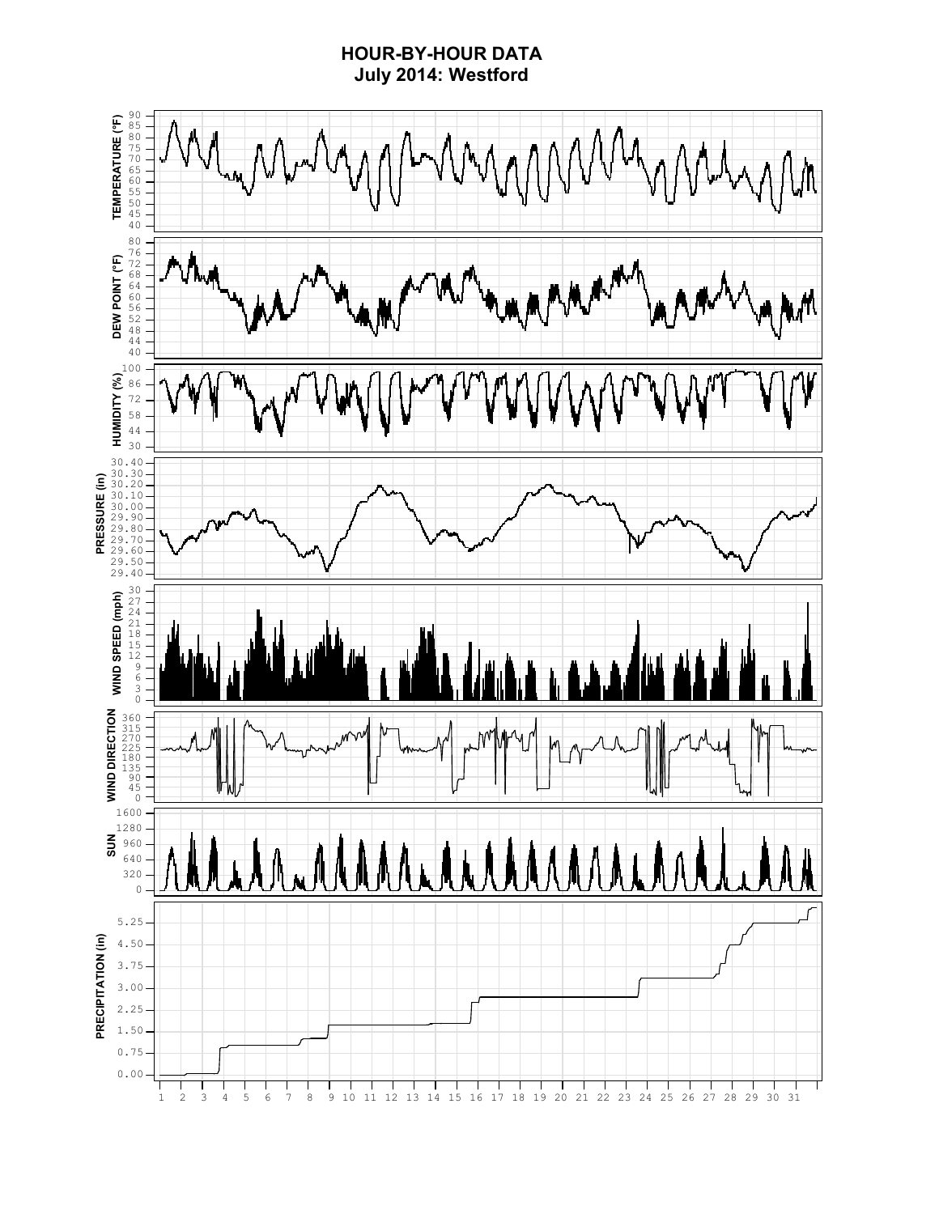### **HOUR-BY-HOUR DATA July 2014: Westford**